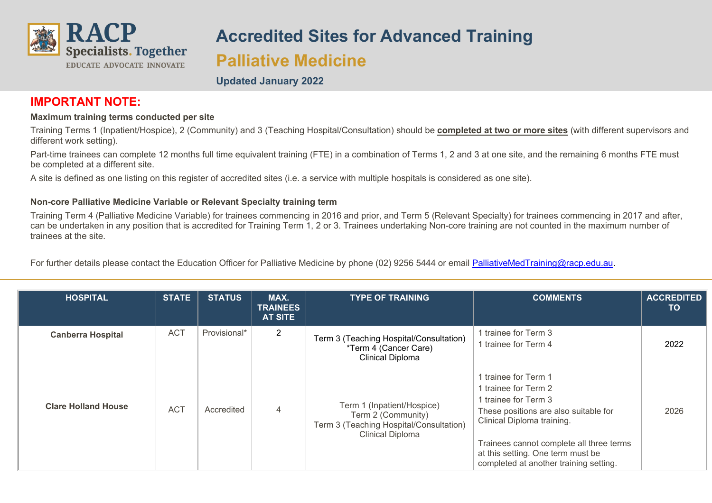

# **Accredited Sites for Advanced Training Palliative Medicine**

### **Updated January 2022**

## **IMPORTANT NOTE:**

#### **Maximum training terms conducted per site**

Training Terms 1 (Inpatient/Hospice), 2 (Community) and 3 (Teaching Hospital/Consultation) should be **completed at two or more sites** (with different supervisors and different work setting).

Part-time trainees can complete 12 months full time equivalent training (FTE) in a combination of Terms 1, 2 and 3 at one site, and the remaining 6 months FTE must be completed at a different site.

A site is defined as one listing on this register of accredited sites (i.e. a service with multiple hospitals is considered as one site).

#### **Non-core Palliative Medicine Variable or Relevant Specialty training term**

Training Term 4 (Palliative Medicine Variable) for trainees commencing in 2016 and prior, and Term 5 (Relevant Specialty) for trainees commencing in 2017 and after, can be undertaken in any position that is accredited for Training Term 1, 2 or 3. Trainees undertaking Non-core training are not counted in the maximum number of trainees at the site.

For further details please contact the Education Officer for Palliative Medicine by phone (02) 9256 5444 or email [PalliativeMedTraining@racp.edu.au.](mailto:PalliativeMedTraining@racp.edu.au)

| <b>HOSPITAL</b>            | <b>STATE</b> | <b>STATUS</b> | MAX.<br><b>TRAINEES</b><br><b>AT SITE</b> | <b>TYPE OF TRAINING</b>                                                                                                | <b>COMMENTS</b>                                                                                                                                                                                                                                                        | <b>ACCREDITED</b><br>TO. |
|----------------------------|--------------|---------------|-------------------------------------------|------------------------------------------------------------------------------------------------------------------------|------------------------------------------------------------------------------------------------------------------------------------------------------------------------------------------------------------------------------------------------------------------------|--------------------------|
| <b>Canberra Hospital</b>   | <b>ACT</b>   | Provisional*  | $\overline{2}$                            | Term 3 (Teaching Hospital/Consultation)<br>*Term 4 (Cancer Care)<br>Clinical Diploma                                   | 1 trainee for Term 3<br>1 trainee for Term 4                                                                                                                                                                                                                           | 2022                     |
| <b>Clare Holland House</b> | <b>ACT</b>   | Accredited    | 4                                         | Term 1 (Inpatient/Hospice)<br>Term 2 (Community)<br>Term 3 (Teaching Hospital/Consultation)<br><b>Clinical Diploma</b> | 1 trainee for Term 1<br>1 trainee for Term 2<br>1 trainee for Term 3<br>These positions are also suitable for<br>Clinical Diploma training.<br>Trainees cannot complete all three terms<br>at this setting. One term must be<br>completed at another training setting. | 2026                     |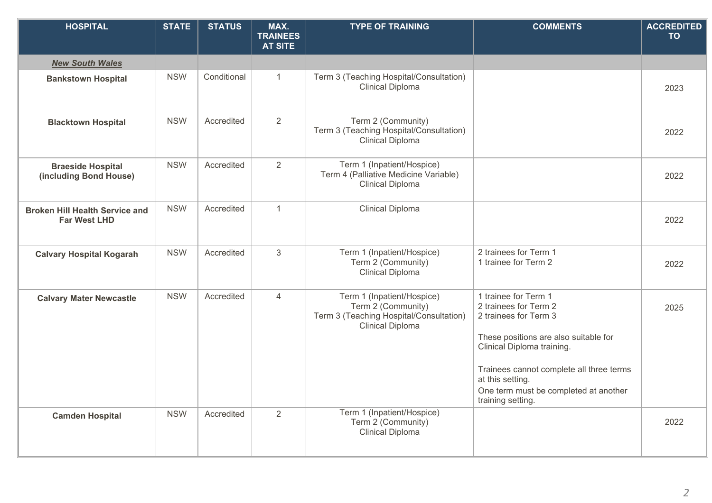| <b>HOSPITAL</b>                                              | <b>STATE</b> | <b>STATUS</b> | MAX.<br><b>TRAINEES</b><br><b>AT SITE</b> | <b>TYPE OF TRAINING</b>                                                                                                | <b>COMMENTS</b>                                                                                                                                                                                                                                                             | <b>ACCREDITED</b><br><b>TO</b> |
|--------------------------------------------------------------|--------------|---------------|-------------------------------------------|------------------------------------------------------------------------------------------------------------------------|-----------------------------------------------------------------------------------------------------------------------------------------------------------------------------------------------------------------------------------------------------------------------------|--------------------------------|
| <b>New South Wales</b>                                       |              |               |                                           |                                                                                                                        |                                                                                                                                                                                                                                                                             |                                |
| <b>Bankstown Hospital</b>                                    | <b>NSW</b>   | Conditional   | $\mathbf{1}$                              | Term 3 (Teaching Hospital/Consultation)<br><b>Clinical Diploma</b>                                                     |                                                                                                                                                                                                                                                                             | 2023                           |
| <b>Blacktown Hospital</b>                                    | <b>NSW</b>   | Accredited    | 2                                         | Term 2 (Community)<br>Term 3 (Teaching Hospital/Consultation)<br><b>Clinical Diploma</b>                               |                                                                                                                                                                                                                                                                             | 2022                           |
| <b>Braeside Hospital</b><br>(including Bond House)           | <b>NSW</b>   | Accredited    | 2                                         | Term 1 (Inpatient/Hospice)<br>Term 4 (Palliative Medicine Variable)<br><b>Clinical Diploma</b>                         |                                                                                                                                                                                                                                                                             | 2022                           |
| <b>Broken Hill Health Service and</b><br><b>Far West LHD</b> | <b>NSW</b>   | Accredited    | $\mathbf{1}$                              | Clinical Diploma                                                                                                       |                                                                                                                                                                                                                                                                             | 2022                           |
| <b>Calvary Hospital Kogarah</b>                              | <b>NSW</b>   | Accredited    | 3                                         | Term 1 (Inpatient/Hospice)<br>Term 2 (Community)<br><b>Clinical Diploma</b>                                            | 2 trainees for Term 1<br>1 trainee for Term 2                                                                                                                                                                                                                               | 2022                           |
| <b>Calvary Mater Newcastle</b>                               | <b>NSW</b>   | Accredited    | 4                                         | Term 1 (Inpatient/Hospice)<br>Term 2 (Community)<br>Term 3 (Teaching Hospital/Consultation)<br><b>Clinical Diploma</b> | 1 trainee for Term 1<br>2 trainees for Term 2<br>2 trainees for Term 3<br>These positions are also suitable for<br>Clinical Diploma training.<br>Trainees cannot complete all three terms<br>at this setting.<br>One term must be completed at another<br>training setting. | 2025                           |
| <b>Camden Hospital</b>                                       | <b>NSW</b>   | Accredited    | 2                                         | Term 1 (Inpatient/Hospice)<br>Term 2 (Community)<br>Clinical Diploma                                                   |                                                                                                                                                                                                                                                                             | 2022                           |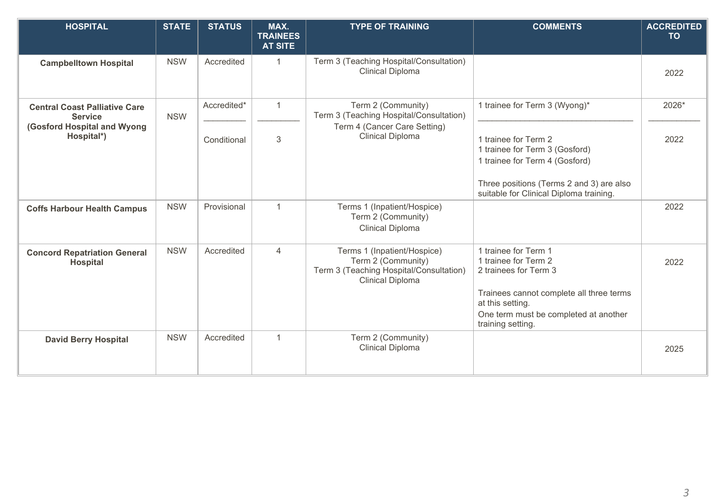| <b>HOSPITAL</b>                                        | <b>STATE</b> | <b>STATUS</b> | MAX.<br><b>TRAINEES</b><br><b>AT SITE</b> | <b>TYPE OF TRAINING</b>                                                                                                 | <b>COMMENTS</b>                                                                                                                                                                                     | <b>ACCREDITED</b><br><b>TO</b> |
|--------------------------------------------------------|--------------|---------------|-------------------------------------------|-------------------------------------------------------------------------------------------------------------------------|-----------------------------------------------------------------------------------------------------------------------------------------------------------------------------------------------------|--------------------------------|
| <b>Campbelltown Hospital</b>                           | <b>NSW</b>   | Accredited    | $\mathbf{1}$                              | Term 3 (Teaching Hospital/Consultation)<br><b>Clinical Diploma</b>                                                      |                                                                                                                                                                                                     | 2022                           |
| <b>Central Coast Palliative Care</b><br><b>Service</b> | <b>NSW</b>   | Accredited*   | $\mathbf{1}$                              | Term 2 (Community)<br>Term 3 (Teaching Hospital/Consultation)                                                           | 1 trainee for Term 3 (Wyong)*                                                                                                                                                                       | 2026*                          |
| (Gosford Hospital and Wyong<br>Hospital*)              |              | Conditional   | 3                                         | Term 4 (Cancer Care Setting)<br><b>Clinical Diploma</b>                                                                 | 1 trainee for Term 2<br>1 trainee for Term 3 (Gosford)<br>1 trainee for Term 4 (Gosford)<br>Three positions (Terms 2 and 3) are also<br>suitable for Clinical Diploma training.                     | 2022                           |
| <b>Coffs Harbour Health Campus</b>                     | <b>NSW</b>   | Provisional   | $\mathbf 1$                               | Terms 1 (Inpatient/Hospice)<br>Term 2 (Community)<br><b>Clinical Diploma</b>                                            |                                                                                                                                                                                                     | 2022                           |
| <b>Concord Repatriation General</b><br><b>Hospital</b> | <b>NSW</b>   | Accredited    | $\overline{4}$                            | Terms 1 (Inpatient/Hospice)<br>Term 2 (Community)<br>Term 3 (Teaching Hospital/Consultation)<br><b>Clinical Diploma</b> | 1 trainee for Term 1<br>1 trainee for Term 2<br>2 trainees for Term 3<br>Trainees cannot complete all three terms<br>at this setting.<br>One term must be completed at another<br>training setting. | 2022                           |
| <b>David Berry Hospital</b>                            | <b>NSW</b>   | Accredited    | $\mathbf{1}$                              | Term 2 (Community)<br><b>Clinical Diploma</b>                                                                           |                                                                                                                                                                                                     | 2025                           |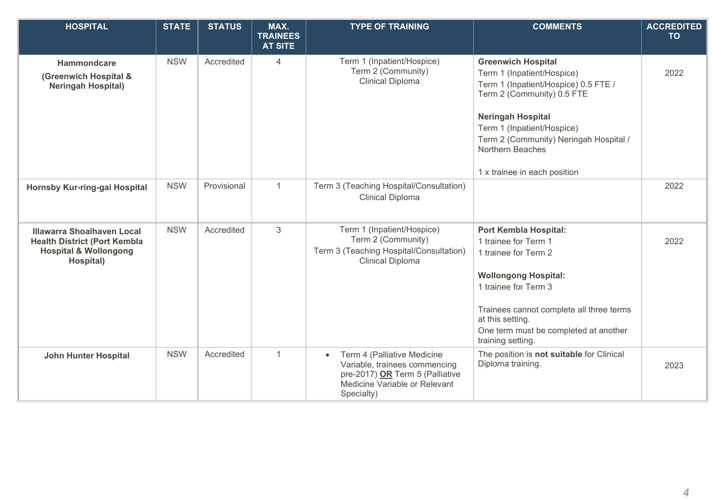| <b>HOSPITAL</b>                                                                                                           | <b>STATE</b> | <b>STATUS</b> | MAX.<br><b>TRAINEES</b><br><b>AT SITE</b> | <b>TYPE OF TRAINING</b>                                                                                                                                     | <b>COMMENTS</b>                                                                                                                                                                                                                                                   | <b>ACCREDITED</b><br><b>TO</b> |
|---------------------------------------------------------------------------------------------------------------------------|--------------|---------------|-------------------------------------------|-------------------------------------------------------------------------------------------------------------------------------------------------------------|-------------------------------------------------------------------------------------------------------------------------------------------------------------------------------------------------------------------------------------------------------------------|--------------------------------|
| <b>Hammondcare</b><br>(Greenwich Hospital &<br><b>Neringah Hospital)</b>                                                  | <b>NSW</b>   | Accredited    | 4                                         | Term 1 (Inpatient/Hospice)<br>Term 2 (Community)<br><b>Clinical Diploma</b>                                                                                 | <b>Greenwich Hospital</b><br>Term 1 (Inpatient/Hospice)<br>Term 1 (Inpatient/Hospice) 0.5 FTE /<br>Term 2 (Community) 0.5 FTE                                                                                                                                     | 2022                           |
|                                                                                                                           |              |               |                                           |                                                                                                                                                             | <b>Neringah Hospital</b><br>Term 1 (Inpatient/Hospice)<br>Term 2 (Community) Neringah Hospital /<br>Northern Beaches<br>1 x trainee in each position                                                                                                              |                                |
| Hornsby Kur-ring-gai Hospital                                                                                             | <b>NSW</b>   | Provisional   | $\mathbf{1}$                              | Term 3 (Teaching Hospital/Consultation)<br><b>Clinical Diploma</b>                                                                                          |                                                                                                                                                                                                                                                                   | 2022                           |
| <b>Illawarra Shoalhaven Local</b><br><b>Health District (Port Kembla</b><br><b>Hospital &amp; Wollongong</b><br>Hospital) | <b>NSW</b>   | Accredited    | 3                                         | Term 1 (Inpatient/Hospice)<br>Term 2 (Community)<br>Term 3 (Teaching Hospital/Consultation)<br><b>Clinical Diploma</b>                                      | <b>Port Kembla Hospital:</b><br>1 trainee for Term 1<br>1 trainee for Term 2<br><b>Wollongong Hospital:</b><br>1 trainee for Term 3<br>Trainees cannot complete all three terms<br>at this setting.<br>One term must be completed at another<br>training setting. | 2022                           |
| <b>John Hunter Hospital</b>                                                                                               | <b>NSW</b>   | Accredited    | 1                                         | Term 4 (Palliative Medicine<br>$\bullet$<br>Variable, trainees commencing<br>pre-2017) OR Term 5 (Palliative<br>Medicine Variable or Relevant<br>Specialty) | The position is not suitable for Clinical<br>Diploma training.                                                                                                                                                                                                    | 2023                           |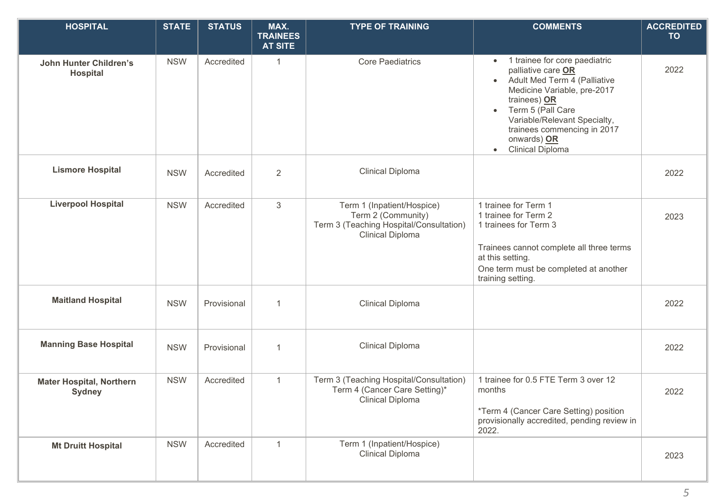| <b>HOSPITAL</b>                                  | <b>STATE</b> | <b>STATUS</b> | MAX.<br><b>TRAINEES</b><br><b>AT SITE</b> | <b>TYPE OF TRAINING</b>                                                                                                | <b>COMMENTS</b>                                                                                                                                                                                                                                                                              | <b>ACCREDITED</b><br><b>TO</b> |
|--------------------------------------------------|--------------|---------------|-------------------------------------------|------------------------------------------------------------------------------------------------------------------------|----------------------------------------------------------------------------------------------------------------------------------------------------------------------------------------------------------------------------------------------------------------------------------------------|--------------------------------|
| <b>John Hunter Children's</b><br><b>Hospital</b> | <b>NSW</b>   | Accredited    | $\mathbf{1}$                              | <b>Core Paediatrics</b>                                                                                                | 1 trainee for core paediatric<br>$\bullet$<br>palliative care OR<br>• Adult Med Term 4 (Palliative<br>Medicine Variable, pre-2017<br>trainees) OR<br>Term 5 (Pall Care<br>$\bullet$<br>Variable/Relevant Specialty,<br>trainees commencing in 2017<br>onwards) OR<br><b>Clinical Diploma</b> | 2022                           |
| <b>Lismore Hospital</b>                          | <b>NSW</b>   | Accredited    | $\overline{2}$                            | <b>Clinical Diploma</b>                                                                                                |                                                                                                                                                                                                                                                                                              | 2022                           |
| <b>Liverpool Hospital</b>                        | <b>NSW</b>   | Accredited    | 3                                         | Term 1 (Inpatient/Hospice)<br>Term 2 (Community)<br>Term 3 (Teaching Hospital/Consultation)<br><b>Clinical Diploma</b> | 1 trainee for Term 1<br>1 trainee for Term 2<br>1 trainees for Term 3<br>Trainees cannot complete all three terms<br>at this setting.<br>One term must be completed at another<br>training setting.                                                                                          | 2023                           |
| <b>Maitland Hospital</b>                         | <b>NSW</b>   | Provisional   | $\overline{1}$                            | <b>Clinical Diploma</b>                                                                                                |                                                                                                                                                                                                                                                                                              | 2022                           |
| <b>Manning Base Hospital</b>                     | <b>NSW</b>   | Provisional   | $\mathbf{1}$                              | <b>Clinical Diploma</b>                                                                                                |                                                                                                                                                                                                                                                                                              | 2022                           |
| <b>Mater Hospital, Northern</b><br><b>Sydney</b> | <b>NSW</b>   | Accredited    | $\mathbf{1}$                              | Term 3 (Teaching Hospital/Consultation)<br>Term 4 (Cancer Care Setting)*<br>Clinical Diploma                           | 1 trainee for 0.5 FTE Term 3 over 12<br>months<br>*Term 4 (Cancer Care Setting) position<br>provisionally accredited, pending review in<br>2022.                                                                                                                                             | 2022                           |
| <b>Mt Druitt Hospital</b>                        | <b>NSW</b>   | Accredited    | $\mathbf{1}$                              | Term 1 (Inpatient/Hospice)<br><b>Clinical Diploma</b>                                                                  |                                                                                                                                                                                                                                                                                              | 2023                           |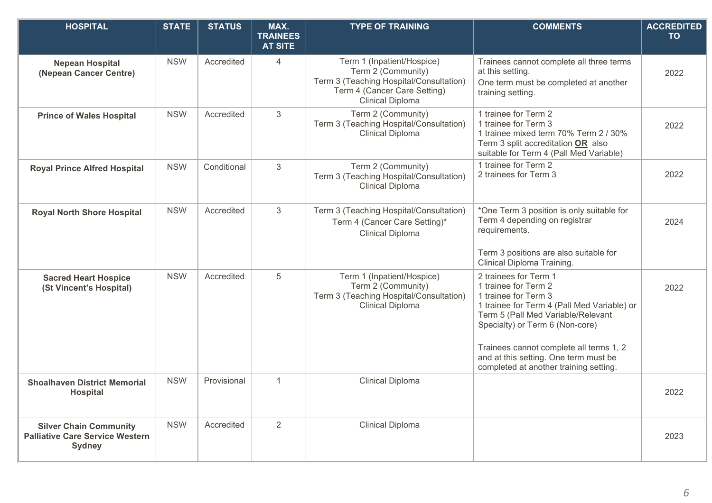| <b>HOSPITAL</b>                                                                          | <b>STATE</b> | <b>STATUS</b> | MAX.<br><b>TRAINEES</b><br><b>AT SITE</b> | <b>TYPE OF TRAINING</b>                                                                                                                                | <b>COMMENTS</b>                                                                                                                                                                                                                                                                                                             | <b>ACCREDITED</b><br><b>TO</b> |
|------------------------------------------------------------------------------------------|--------------|---------------|-------------------------------------------|--------------------------------------------------------------------------------------------------------------------------------------------------------|-----------------------------------------------------------------------------------------------------------------------------------------------------------------------------------------------------------------------------------------------------------------------------------------------------------------------------|--------------------------------|
| <b>Nepean Hospital</b><br>(Nepean Cancer Centre)                                         | <b>NSW</b>   | Accredited    | 4                                         | Term 1 (Inpatient/Hospice)<br>Term 2 (Community)<br>Term 3 (Teaching Hospital/Consultation)<br>Term 4 (Cancer Care Setting)<br><b>Clinical Diploma</b> | Trainees cannot complete all three terms<br>at this setting.<br>One term must be completed at another<br>training setting.                                                                                                                                                                                                  | 2022                           |
| <b>Prince of Wales Hospital</b>                                                          | <b>NSW</b>   | Accredited    | 3                                         | Term 2 (Community)<br>Term 3 (Teaching Hospital/Consultation)<br><b>Clinical Diploma</b>                                                               | 1 trainee for Term 2<br>1 trainee for Term 3<br>1 trainee mixed term 70% Term 2 / 30%<br>Term 3 split accreditation OR also<br>suitable for Term 4 (Pall Med Variable)                                                                                                                                                      | 2022                           |
| <b>Royal Prince Alfred Hospital</b>                                                      | <b>NSW</b>   | Conditional   | 3                                         | Term 2 (Community)<br>Term 3 (Teaching Hospital/Consultation)<br><b>Clinical Diploma</b>                                                               | 1 trainee for Term 2<br>2 trainees for Term 3                                                                                                                                                                                                                                                                               | 2022                           |
| <b>Royal North Shore Hospital</b>                                                        | <b>NSW</b>   | Accredited    | 3                                         | Term 3 (Teaching Hospital/Consultation)<br>Term 4 (Cancer Care Setting)*<br><b>Clinical Diploma</b>                                                    | *One Term 3 position is only suitable for<br>Term 4 depending on registrar<br>requirements.<br>Term 3 positions are also suitable for<br>Clinical Diploma Training.                                                                                                                                                         | 2024                           |
| <b>Sacred Heart Hospice</b><br>(St Vincent's Hospital)                                   | <b>NSW</b>   | Accredited    | 5                                         | Term 1 (Inpatient/Hospice)<br>Term 2 (Community)<br>Term 3 (Teaching Hospital/Consultation)<br><b>Clinical Diploma</b>                                 | 2 trainees for Term 1<br>1 trainee for Term 2<br>1 trainee for Term 3<br>1 trainee for Term 4 (Pall Med Variable) or<br>Term 5 (Pall Med Variable/Relevant<br>Specialty) or Term 6 (Non-core)<br>Trainees cannot complete all terms 1, 2<br>and at this setting. One term must be<br>completed at another training setting. | 2022                           |
| <b>Shoalhaven District Memorial</b><br><b>Hospital</b>                                   | <b>NSW</b>   | Provisional   | $\overline{1}$                            | <b>Clinical Diploma</b>                                                                                                                                |                                                                                                                                                                                                                                                                                                                             | 2022                           |
| <b>Silver Chain Community</b><br><b>Palliative Care Service Western</b><br><b>Sydney</b> | <b>NSW</b>   | Accredited    | 2                                         | <b>Clinical Diploma</b>                                                                                                                                |                                                                                                                                                                                                                                                                                                                             | 2023                           |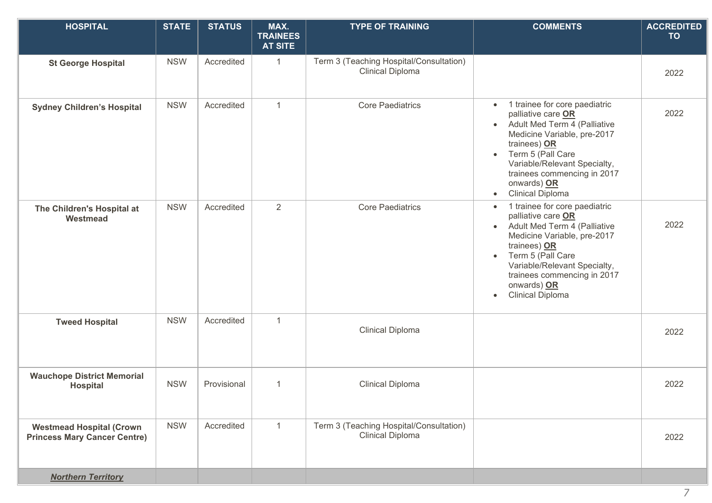| <b>HOSPITAL</b>                                                        | <b>STATE</b> | <b>STATUS</b> | MAX.<br><b>TRAINEES</b><br><b>AT SITE</b> | <b>TYPE OF TRAINING</b>                                            | <b>COMMENTS</b>                                                                                                                                                                                                                                                                                         | <b>ACCREDITED</b><br><b>TO</b> |
|------------------------------------------------------------------------|--------------|---------------|-------------------------------------------|--------------------------------------------------------------------|---------------------------------------------------------------------------------------------------------------------------------------------------------------------------------------------------------------------------------------------------------------------------------------------------------|--------------------------------|
| <b>St George Hospital</b>                                              | <b>NSW</b>   | Accredited    | $\mathbf{1}$                              | Term 3 (Teaching Hospital/Consultation)<br><b>Clinical Diploma</b> |                                                                                                                                                                                                                                                                                                         | 2022                           |
| <b>Sydney Children's Hospital</b>                                      | <b>NSW</b>   | Accredited    | $\mathbf{1}$                              | <b>Core Paediatrics</b>                                            | 1 trainee for core paediatric<br>palliative care OR<br>Adult Med Term 4 (Palliative<br>$\bullet$<br>Medicine Variable, pre-2017<br>trainees) OR<br>Term 5 (Pall Care<br>$\bullet$<br>Variable/Relevant Specialty,<br>trainees commencing in 2017<br>onwards) OR<br><b>Clinical Diploma</b><br>$\bullet$ | 2022                           |
| The Children's Hospital at<br>Westmead                                 | <b>NSW</b>   | Accredited    | $\overline{2}$                            | <b>Core Paediatrics</b>                                            | 1 trainee for core paediatric<br>palliative care OR<br>Adult Med Term 4 (Palliative<br>$\bullet$<br>Medicine Variable, pre-2017<br>trainees) OR<br>Term 5 (Pall Care<br>Variable/Relevant Specialty,<br>trainees commencing in 2017<br>onwards) OR<br><b>Clinical Diploma</b><br>$\bullet$              | 2022                           |
| <b>Tweed Hospital</b>                                                  | <b>NSW</b>   | Accredited    | $\mathbf{1}$                              | Clinical Diploma                                                   |                                                                                                                                                                                                                                                                                                         | 2022                           |
| <b>Wauchope District Memorial</b><br><b>Hospital</b>                   | <b>NSW</b>   | Provisional   | $\mathbf{1}$                              | Clinical Diploma                                                   |                                                                                                                                                                                                                                                                                                         | 2022                           |
| <b>Westmead Hospital (Crown</b><br><b>Princess Mary Cancer Centre)</b> | <b>NSW</b>   | Accredited    | $\mathbf{1}$                              | Term 3 (Teaching Hospital/Consultation)<br><b>Clinical Diploma</b> |                                                                                                                                                                                                                                                                                                         | 2022                           |
| <b>Northern Territory</b>                                              |              |               |                                           |                                                                    |                                                                                                                                                                                                                                                                                                         |                                |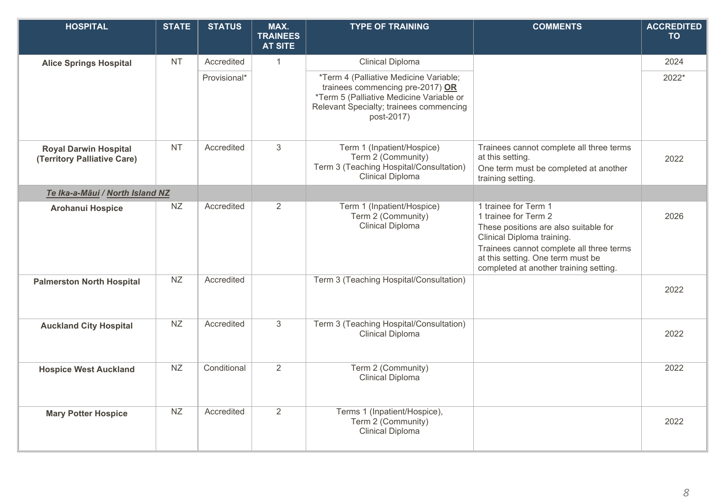| <b>HOSPITAL</b>                                             | <b>STATE</b> | <b>STATUS</b> | MAX.<br><b>TRAINEES</b><br><b>AT SITE</b> | <b>TYPE OF TRAINING</b>                                                                                                                                                         | <b>COMMENTS</b>                                                                                                                                                                                                                                | <b>ACCREDITED</b><br><b>TO</b> |
|-------------------------------------------------------------|--------------|---------------|-------------------------------------------|---------------------------------------------------------------------------------------------------------------------------------------------------------------------------------|------------------------------------------------------------------------------------------------------------------------------------------------------------------------------------------------------------------------------------------------|--------------------------------|
| <b>Alice Springs Hospital</b>                               | <b>NT</b>    | Accredited    | $\mathbf{1}$                              | <b>Clinical Diploma</b>                                                                                                                                                         |                                                                                                                                                                                                                                                | 2024                           |
|                                                             |              | Provisional*  |                                           | *Term 4 (Palliative Medicine Variable;<br>trainees commencing pre-2017) OR<br>*Term 5 (Palliative Medicine Variable or<br>Relevant Specialty; trainees commencing<br>post-2017) |                                                                                                                                                                                                                                                | 2022*                          |
| <b>Royal Darwin Hospital</b><br>(Territory Palliative Care) | <b>NT</b>    | Accredited    | 3                                         | Term 1 (Inpatient/Hospice)<br>Term 2 (Community)<br>Term 3 (Teaching Hospital/Consultation)<br>Clinical Diploma                                                                 | Trainees cannot complete all three terms<br>at this setting.<br>One term must be completed at another<br>training setting.                                                                                                                     | 2022                           |
| Te Ika-a-Māui / North Island NZ                             |              |               |                                           |                                                                                                                                                                                 |                                                                                                                                                                                                                                                |                                |
| <b>Arohanui Hospice</b>                                     | <b>NZ</b>    | Accredited    | 2                                         | Term 1 (Inpatient/Hospice)<br>Term 2 (Community)<br><b>Clinical Diploma</b>                                                                                                     | 1 trainee for Term 1<br>1 trainee for Term 2<br>These positions are also suitable for<br>Clinical Diploma training.<br>Trainees cannot complete all three terms<br>at this setting. One term must be<br>completed at another training setting. | 2026                           |
| <b>Palmerston North Hospital</b>                            | <b>NZ</b>    | Accredited    |                                           | Term 3 (Teaching Hospital/Consultation)                                                                                                                                         |                                                                                                                                                                                                                                                | 2022                           |
| <b>Auckland City Hospital</b>                               | NZ           | Accredited    | 3                                         | Term 3 (Teaching Hospital/Consultation)<br>Clinical Diploma                                                                                                                     |                                                                                                                                                                                                                                                | 2022                           |
| <b>Hospice West Auckland</b>                                | <b>NZ</b>    | Conditional   | 2                                         | Term 2 (Community)<br><b>Clinical Diploma</b>                                                                                                                                   |                                                                                                                                                                                                                                                | 2022                           |
| <b>Mary Potter Hospice</b>                                  | <b>NZ</b>    | Accredited    | 2                                         | Terms 1 (Inpatient/Hospice),<br>Term 2 (Community)<br>Clinical Diploma                                                                                                          |                                                                                                                                                                                                                                                | 2022                           |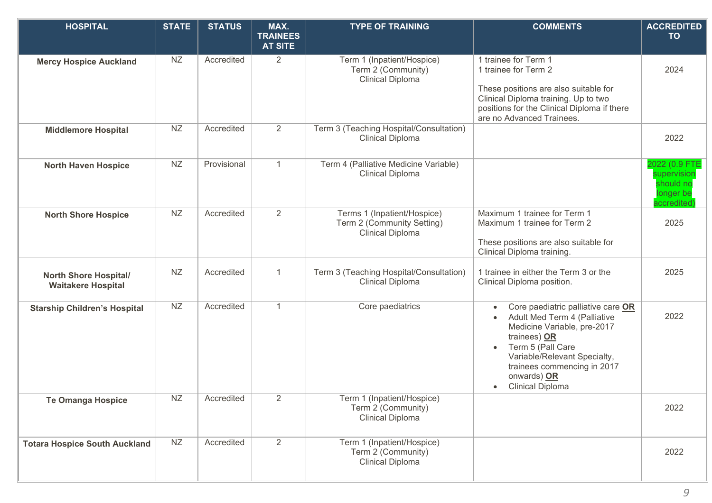| <b>HOSPITAL</b>                                           | <b>STATE</b> | <b>STATUS</b> | MAX.<br><b>TRAINEES</b><br><b>AT SITE</b> | <b>TYPE OF TRAINING</b>                                                              | <b>COMMENTS</b>                                                                                                                                                                                                                                 | <b>ACCREDITED</b><br><b>TO</b>                                       |
|-----------------------------------------------------------|--------------|---------------|-------------------------------------------|--------------------------------------------------------------------------------------|-------------------------------------------------------------------------------------------------------------------------------------------------------------------------------------------------------------------------------------------------|----------------------------------------------------------------------|
| <b>Mercy Hospice Auckland</b>                             | <b>NZ</b>    | Accredited    | 2                                         | Term 1 (Inpatient/Hospice)<br>Term 2 (Community)<br><b>Clinical Diploma</b>          | 1 trainee for Term 1<br>1 trainee for Term 2<br>These positions are also suitable for<br>Clinical Diploma training. Up to two<br>positions for the Clinical Diploma if there<br>are no Advanced Trainees.                                       | 2024                                                                 |
| <b>Middlemore Hospital</b>                                | <b>NZ</b>    | Accredited    | 2                                         | Term 3 (Teaching Hospital/Consultation)<br><b>Clinical Diploma</b>                   |                                                                                                                                                                                                                                                 | 2022                                                                 |
| <b>North Haven Hospice</b>                                | NZ           | Provisional   | $\mathbf{1}$                              | Term 4 (Palliative Medicine Variable)<br><b>Clinical Diploma</b>                     |                                                                                                                                                                                                                                                 | 2022 (0.9 FTI<br>supervisior<br>should no<br>longer be<br>accredited |
| <b>North Shore Hospice</b>                                | NZ           | Accredited    | $\overline{2}$                            | Terms 1 (Inpatient/Hospice)<br>Term 2 (Community Setting)<br><b>Clinical Diploma</b> | Maximum 1 trainee for Term 1<br>Maximum 1 trainee for Term 2<br>These positions are also suitable for<br>Clinical Diploma training.                                                                                                             | 2025                                                                 |
| <b>North Shore Hospital/</b><br><b>Waitakere Hospital</b> | NZ           | Accredited    | $\mathbf{1}$                              | Term 3 (Teaching Hospital/Consultation)<br><b>Clinical Diploma</b>                   | 1 trainee in either the Term 3 or the<br>Clinical Diploma position.                                                                                                                                                                             | 2025                                                                 |
| <b>Starship Children's Hospital</b>                       | <b>NZ</b>    | Accredited    | $\mathbf{1}$                              | Core paediatrics                                                                     | Core paediatric palliative care OR<br>Adult Med Term 4 (Palliative<br>Medicine Variable, pre-2017<br>trainees) OR<br>Term 5 (Pall Care<br>Variable/Relevant Specialty,<br>trainees commencing in 2017<br>onwards) OR<br><b>Clinical Diploma</b> | 2022                                                                 |
| <b>Te Omanga Hospice</b>                                  | NZ           | Accredited    | $\mathbb{Z}$                              | Term 1 (Inpatient/Hospice)<br>Term 2 (Community)<br><b>Clinical Diploma</b>          |                                                                                                                                                                                                                                                 | 2022                                                                 |
| <b>Totara Hospice South Auckland</b>                      | NZ           | Accredited    | 2                                         | Term 1 (Inpatient/Hospice)<br>Term 2 (Community)<br><b>Clinical Diploma</b>          |                                                                                                                                                                                                                                                 | 2022                                                                 |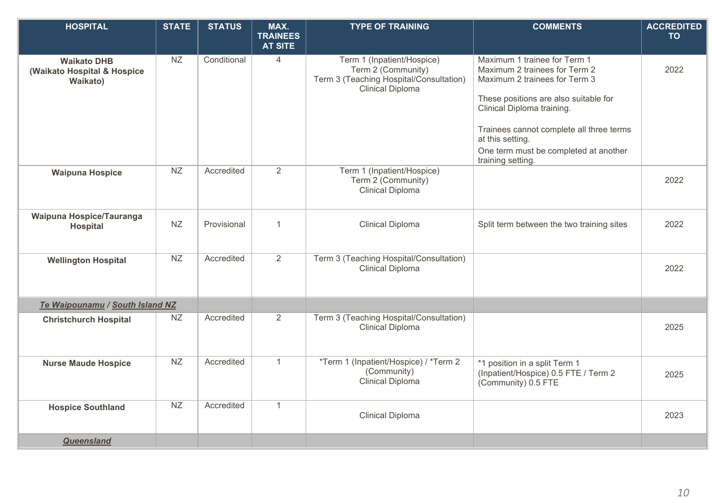| <b>HOSPITAL</b>                                               | <b>STATE</b> | <b>STATUS</b> | MAX.<br><b>TRAINEES</b> | <b>TYPE OF TRAINING</b>                                                                                                | <b>COMMENTS</b>                                                                                                                                                       | <b>ACCREDITED</b><br><b>TO</b> |
|---------------------------------------------------------------|--------------|---------------|-------------------------|------------------------------------------------------------------------------------------------------------------------|-----------------------------------------------------------------------------------------------------------------------------------------------------------------------|--------------------------------|
|                                                               |              |               | <b>AT SITE</b>          |                                                                                                                        |                                                                                                                                                                       |                                |
| <b>Waikato DHB</b><br>(Waikato Hospital & Hospice<br>Waikato) | <b>NZ</b>    | Conditional   | $\overline{4}$          | Term 1 (Inpatient/Hospice)<br>Term 2 (Community)<br>Term 3 (Teaching Hospital/Consultation)<br><b>Clinical Diploma</b> | Maximum 1 trainee for Term 1<br>Maximum 2 trainees for Term 2<br>Maximum 2 trainees for Term 3<br>These positions are also suitable for<br>Clinical Diploma training. | 2022                           |
|                                                               |              |               |                         |                                                                                                                        | Trainees cannot complete all three terms<br>at this setting.<br>One term must be completed at another<br>training setting.                                            |                                |
| <b>Waipuna Hospice</b>                                        | <b>NZ</b>    | Accredited    | 2                       | Term 1 (Inpatient/Hospice)<br>Term 2 (Community)<br>Clinical Diploma                                                   |                                                                                                                                                                       | 2022                           |
| Waipuna Hospice/Tauranga<br><b>Hospital</b>                   | <b>NZ</b>    | Provisional   | 1                       | Clinical Diploma                                                                                                       | Split term between the two training sites                                                                                                                             | 2022                           |
| <b>Wellington Hospital</b>                                    | NZ           | Accredited    | 2                       | Term 3 (Teaching Hospital/Consultation)<br><b>Clinical Diploma</b>                                                     |                                                                                                                                                                       | 2022                           |
| Te Waipounamu / South Island NZ                               |              |               |                         |                                                                                                                        |                                                                                                                                                                       |                                |
| <b>Christchurch Hospital</b>                                  | NZ           | Accredited    | 2                       | Term 3 (Teaching Hospital/Consultation)<br><b>Clinical Diploma</b>                                                     |                                                                                                                                                                       | 2025                           |
| <b>Nurse Maude Hospice</b>                                    | NZ           | Accredited    | $\mathbf{1}$            | *Term 1 (Inpatient/Hospice) / *Term 2<br>(Community)<br><b>Clinical Diploma</b>                                        | *1 position in a split Term 1<br>(Inpatient/Hospice) 0.5 FTE / Term 2<br>(Community) 0.5 FTE                                                                          | 2025                           |
| <b>Hospice Southland</b>                                      | NZ           | Accredited    | $\mathbf{1}$            | <b>Clinical Diploma</b>                                                                                                |                                                                                                                                                                       | 2023                           |
| <b>Queensland</b>                                             |              |               |                         |                                                                                                                        |                                                                                                                                                                       |                                |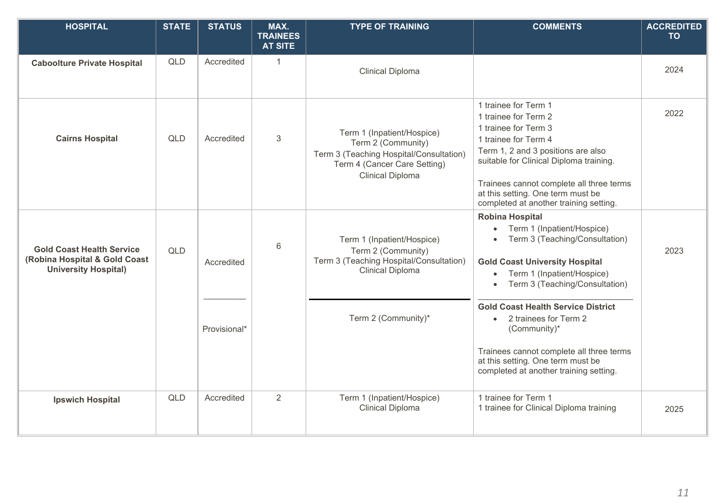| <b>HOSPITAL</b>                                                                                  | <b>STATE</b> | <b>STATUS</b> | MAX.<br><b>TRAINEES</b><br><b>AT SITE</b> | <b>TYPE OF TRAINING</b>                                                                                                                                | <b>COMMENTS</b>                                                                                                                                                                                                                                                                                          | <b>ACCREDITED</b><br><b>TO</b> |
|--------------------------------------------------------------------------------------------------|--------------|---------------|-------------------------------------------|--------------------------------------------------------------------------------------------------------------------------------------------------------|----------------------------------------------------------------------------------------------------------------------------------------------------------------------------------------------------------------------------------------------------------------------------------------------------------|--------------------------------|
| <b>Caboolture Private Hospital</b>                                                               | <b>QLD</b>   | Accredited    | $\mathbf{1}$                              | <b>Clinical Diploma</b>                                                                                                                                |                                                                                                                                                                                                                                                                                                          | 2024                           |
| <b>Cairns Hospital</b>                                                                           | <b>QLD</b>   | Accredited    | $\ensuremath{\mathsf{3}}$                 | Term 1 (Inpatient/Hospice)<br>Term 2 (Community)<br>Term 3 (Teaching Hospital/Consultation)<br>Term 4 (Cancer Care Setting)<br><b>Clinical Diploma</b> | 1 trainee for Term 1<br>1 trainee for Term 2<br>1 trainee for Term 3<br>1 trainee for Term 4<br>Term 1, 2 and 3 positions are also<br>suitable for Clinical Diploma training.<br>Trainees cannot complete all three terms<br>at this setting. One term must be<br>completed at another training setting. | 2022                           |
| <b>Gold Coast Health Service</b><br>(Robina Hospital & Gold Coast<br><b>University Hospital)</b> | <b>QLD</b>   | Accredited    | 6                                         | Term 1 (Inpatient/Hospice)<br>Term 2 (Community)<br>Term 3 (Teaching Hospital/Consultation)<br><b>Clinical Diploma</b>                                 | <b>Robina Hospital</b><br>Term 1 (Inpatient/Hospice)<br>$\bullet$<br>Term 3 (Teaching/Consultation)<br><b>Gold Coast University Hospital</b><br>Term 1 (Inpatient/Hospice)<br>$\bullet$<br>Term 3 (Teaching/Consultation)<br>$\bullet$<br><b>Gold Coast Health Service District</b>                      | 2023                           |
|                                                                                                  |              | Provisional*  |                                           | Term 2 (Community)*                                                                                                                                    | 2 trainees for Term 2<br>$\bullet$<br>(Community)*<br>Trainees cannot complete all three terms<br>at this setting. One term must be<br>completed at another training setting.                                                                                                                            |                                |
| <b>Ipswich Hospital</b>                                                                          | <b>QLD</b>   | Accredited    | 2                                         | Term 1 (Inpatient/Hospice)<br>Clinical Diploma                                                                                                         | 1 trainee for Term 1<br>1 trainee for Clinical Diploma training                                                                                                                                                                                                                                          | 2025                           |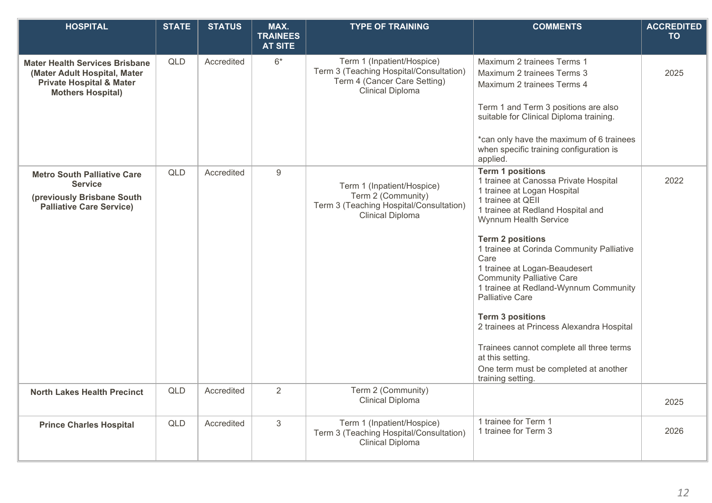| <b>HOSPITAL</b>                                                                                                                          | <b>STATE</b> | <b>STATUS</b> | MAX.<br><b>TRAINEES</b> | <b>TYPE OF TRAINING</b>                                                                                                          | <b>COMMENTS</b>                                                                                                                                                                                                      | <b>ACCREDITED</b><br><b>TO</b> |
|------------------------------------------------------------------------------------------------------------------------------------------|--------------|---------------|-------------------------|----------------------------------------------------------------------------------------------------------------------------------|----------------------------------------------------------------------------------------------------------------------------------------------------------------------------------------------------------------------|--------------------------------|
|                                                                                                                                          |              |               | <b>AT SITE</b>          |                                                                                                                                  |                                                                                                                                                                                                                      |                                |
| <b>Mater Health Services Brisbane</b><br>(Mater Adult Hospital, Mater<br><b>Private Hospital &amp; Mater</b><br><b>Mothers Hospital)</b> | QLD          | Accredited    | $6*$                    | Term 1 (Inpatient/Hospice)<br>Term 3 (Teaching Hospital/Consultation)<br>Term 4 (Cancer Care Setting)<br><b>Clinical Diploma</b> | Maximum 2 trainees Terms 1<br>Maximum 2 trainees Terms 3<br>Maximum 2 trainees Terms 4                                                                                                                               | 2025                           |
|                                                                                                                                          |              |               |                         |                                                                                                                                  | Term 1 and Term 3 positions are also<br>suitable for Clinical Diploma training.                                                                                                                                      |                                |
|                                                                                                                                          |              |               |                         |                                                                                                                                  | *can only have the maximum of 6 trainees<br>when specific training configuration is<br>applied.                                                                                                                      |                                |
| <b>Metro South Palliative Care</b><br><b>Service</b><br>(previously Brisbane South<br><b>Palliative Care Service)</b>                    | QLD          | Accredited    | 9                       | Term 1 (Inpatient/Hospice)<br>Term 2 (Community)<br>Term 3 (Teaching Hospital/Consultation)<br><b>Clinical Diploma</b>           | <b>Term 1 positions</b><br>1 trainee at Canossa Private Hospital<br>1 trainee at Logan Hospital<br>1 trainee at QEII<br>1 trainee at Redland Hospital and<br>Wynnum Health Service                                   | 2022                           |
|                                                                                                                                          |              |               |                         |                                                                                                                                  | <b>Term 2 positions</b><br>1 trainee at Corinda Community Palliative<br>Care<br>1 trainee at Logan-Beaudesert<br><b>Community Palliative Care</b><br>1 trainee at Redland-Wynnum Community<br><b>Palliative Care</b> |                                |
|                                                                                                                                          |              |               |                         |                                                                                                                                  | <b>Term 3 positions</b><br>2 trainees at Princess Alexandra Hospital                                                                                                                                                 |                                |
|                                                                                                                                          |              |               |                         |                                                                                                                                  | Trainees cannot complete all three terms<br>at this setting.<br>One term must be completed at another                                                                                                                |                                |
|                                                                                                                                          |              |               |                         |                                                                                                                                  | training setting.                                                                                                                                                                                                    |                                |
| <b>North Lakes Health Precinct</b>                                                                                                       | QLD          | Accredited    | $\overline{2}$          | Term 2 (Community)<br>Clinical Diploma                                                                                           |                                                                                                                                                                                                                      | 2025                           |
| <b>Prince Charles Hospital</b>                                                                                                           | <b>QLD</b>   | Accredited    | $\mathfrak{S}$          | Term 1 (Inpatient/Hospice)<br>Term 3 (Teaching Hospital/Consultation)<br><b>Clinical Diploma</b>                                 | 1 trainee for Term 1<br>1 trainee for Term 3                                                                                                                                                                         | 2026                           |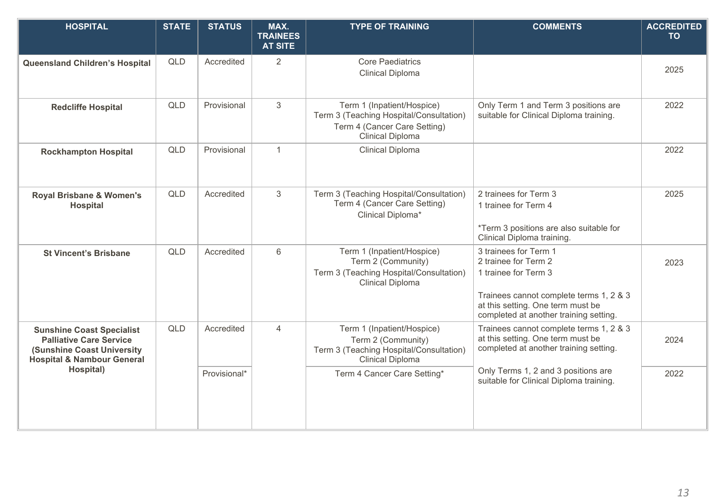| <b>HOSPITAL</b>                                                                                                                                   | <b>STATE</b> | <b>STATUS</b> | MAX.<br><b>TRAINEES</b><br><b>AT SITE</b> | <b>TYPE OF TRAINING</b>                                                                                                          | <b>COMMENTS</b>                                                                                                                                                                                 | <b>ACCREDITED</b><br><b>TO</b> |
|---------------------------------------------------------------------------------------------------------------------------------------------------|--------------|---------------|-------------------------------------------|----------------------------------------------------------------------------------------------------------------------------------|-------------------------------------------------------------------------------------------------------------------------------------------------------------------------------------------------|--------------------------------|
| <b>Queensland Children's Hospital</b>                                                                                                             | <b>QLD</b>   | Accredited    | 2                                         | <b>Core Paediatrics</b><br><b>Clinical Diploma</b>                                                                               |                                                                                                                                                                                                 | 2025                           |
| <b>Redcliffe Hospital</b>                                                                                                                         | <b>QLD</b>   | Provisional   | 3                                         | Term 1 (Inpatient/Hospice)<br>Term 3 (Teaching Hospital/Consultation)<br>Term 4 (Cancer Care Setting)<br><b>Clinical Diploma</b> | Only Term 1 and Term 3 positions are<br>suitable for Clinical Diploma training.                                                                                                                 | 2022                           |
| <b>Rockhampton Hospital</b>                                                                                                                       | <b>QLD</b>   | Provisional   | $\mathbf{1}$                              | <b>Clinical Diploma</b>                                                                                                          |                                                                                                                                                                                                 | 2022                           |
| <b>Royal Brisbane &amp; Women's</b><br><b>Hospital</b>                                                                                            | <b>QLD</b>   | Accredited    | 3                                         | Term 3 (Teaching Hospital/Consultation)<br>Term 4 (Cancer Care Setting)<br>Clinical Diploma*                                     | 2 trainees for Term 3<br>1 trainee for Term 4<br>*Term 3 positions are also suitable for<br>Clinical Diploma training.                                                                          | 2025                           |
| <b>St Vincent's Brisbane</b>                                                                                                                      | QLD          | Accredited    | 6                                         | Term 1 (Inpatient/Hospice)<br>Term 2 (Community)<br>Term 3 (Teaching Hospital/Consultation)<br><b>Clinical Diploma</b>           | 3 trainees for Term 1<br>2 trainee for Term 2<br>1 trainee for Term 3<br>Trainees cannot complete terms 1, 2 & 3<br>at this setting. One term must be<br>completed at another training setting. | 2023                           |
| <b>Sunshine Coast Specialist</b><br><b>Palliative Care Service</b><br><b>(Sunshine Coast University)</b><br><b>Hospital &amp; Nambour General</b> | QLD          | Accredited    | $\overline{4}$                            | Term 1 (Inpatient/Hospice)<br>Term 2 (Community)<br>Term 3 (Teaching Hospital/Consultation)<br>Clinical Diploma                  | Trainees cannot complete terms 1, 2 & 3<br>at this setting. One term must be<br>completed at another training setting.                                                                          | 2024                           |
| Hospital)                                                                                                                                         |              | Provisional*  |                                           | Term 4 Cancer Care Setting*                                                                                                      | Only Terms 1, 2 and 3 positions are<br>suitable for Clinical Diploma training.                                                                                                                  | 2022                           |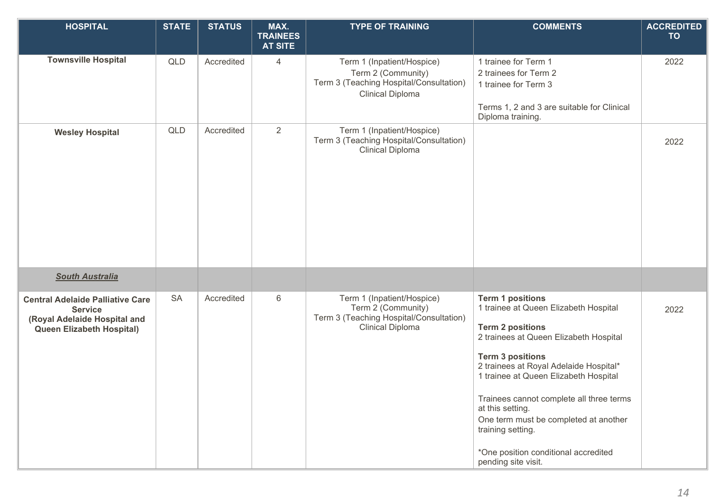| <b>HOSPITAL</b>                                                                                                               | <b>STATE</b> | <b>STATUS</b> | MAX.<br><b>TRAINEES</b><br><b>AT SITE</b> | <b>TYPE OF TRAINING</b>                                                                                                | <b>COMMENTS</b>                                                                                                                                                                                                                                                                                                                                                                                                                                  | <b>ACCREDITED</b><br><b>TO</b> |
|-------------------------------------------------------------------------------------------------------------------------------|--------------|---------------|-------------------------------------------|------------------------------------------------------------------------------------------------------------------------|--------------------------------------------------------------------------------------------------------------------------------------------------------------------------------------------------------------------------------------------------------------------------------------------------------------------------------------------------------------------------------------------------------------------------------------------------|--------------------------------|
| <b>Townsville Hospital</b>                                                                                                    | QLD          | Accredited    | 4                                         | Term 1 (Inpatient/Hospice)<br>Term 2 (Community)<br>Term 3 (Teaching Hospital/Consultation)<br><b>Clinical Diploma</b> | 1 trainee for Term 1<br>2 trainees for Term 2<br>1 trainee for Term 3<br>Terms 1, 2 and 3 are suitable for Clinical<br>Diploma training.                                                                                                                                                                                                                                                                                                         | 2022                           |
| <b>Wesley Hospital</b>                                                                                                        | QLD          | Accredited    | $\overline{2}$                            | Term 1 (Inpatient/Hospice)<br>Term 3 (Teaching Hospital/Consultation)<br><b>Clinical Diploma</b>                       |                                                                                                                                                                                                                                                                                                                                                                                                                                                  | 2022                           |
| <b>South Australia</b>                                                                                                        |              |               |                                           |                                                                                                                        |                                                                                                                                                                                                                                                                                                                                                                                                                                                  |                                |
| <b>Central Adelaide Palliative Care</b><br><b>Service</b><br>(Royal Adelaide Hospital and<br><b>Queen Elizabeth Hospital)</b> | <b>SA</b>    | Accredited    | $6\,$                                     | Term 1 (Inpatient/Hospice)<br>Term 2 (Community)<br>Term 3 (Teaching Hospital/Consultation)<br><b>Clinical Diploma</b> | <b>Term 1 positions</b><br>1 trainee at Queen Elizabeth Hospital<br><b>Term 2 positions</b><br>2 trainees at Queen Elizabeth Hospital<br><b>Term 3 positions</b><br>2 trainees at Royal Adelaide Hospital*<br>1 trainee at Queen Elizabeth Hospital<br>Trainees cannot complete all three terms<br>at this setting.<br>One term must be completed at another<br>training setting.<br>*One position conditional accredited<br>pending site visit. | 2022                           |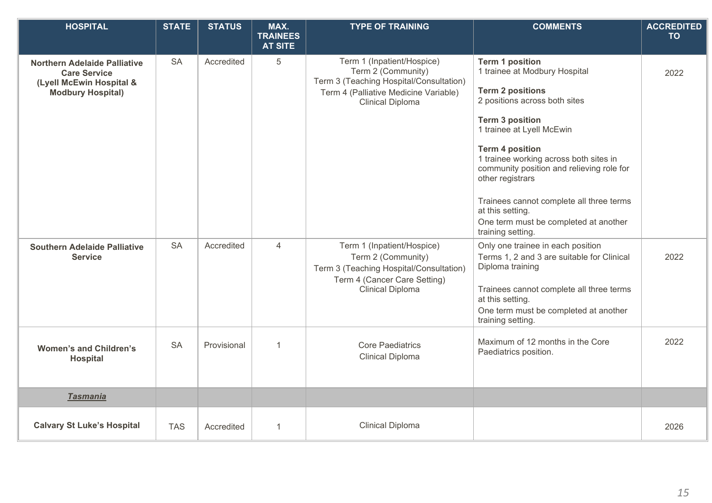| <b>HOSPITAL</b>                                                                                                    | <b>STATE</b> | <b>STATUS</b> | MAX.<br><b>TRAINEES</b> | <b>TYPE OF TRAINING</b>                                                                                                                                         | <b>COMMENTS</b>                                                                                                                                                                                                                                                                                                                                                                                                          | <b>ACCREDITED</b><br><b>TO</b> |
|--------------------------------------------------------------------------------------------------------------------|--------------|---------------|-------------------------|-----------------------------------------------------------------------------------------------------------------------------------------------------------------|--------------------------------------------------------------------------------------------------------------------------------------------------------------------------------------------------------------------------------------------------------------------------------------------------------------------------------------------------------------------------------------------------------------------------|--------------------------------|
|                                                                                                                    |              |               | <b>AT SITE</b>          |                                                                                                                                                                 |                                                                                                                                                                                                                                                                                                                                                                                                                          |                                |
| <b>Northern Adelaide Palliative</b><br><b>Care Service</b><br>(Lyell McEwin Hospital &<br><b>Modbury Hospital)</b> | <b>SA</b>    | Accredited    | 5                       | Term 1 (Inpatient/Hospice)<br>Term 2 (Community)<br>Term 3 (Teaching Hospital/Consultation)<br>Term 4 (Palliative Medicine Variable)<br><b>Clinical Diploma</b> | <b>Term 1 position</b><br>1 trainee at Modbury Hospital<br><b>Term 2 positions</b><br>2 positions across both sites<br><b>Term 3 position</b><br>1 trainee at Lyell McEwin<br><b>Term 4 position</b><br>1 trainee working across both sites in<br>community position and relieving role for<br>other registrars<br>Trainees cannot complete all three terms<br>at this setting.<br>One term must be completed at another | 2022                           |
| <b>Southern Adelaide Palliative</b><br><b>Service</b>                                                              | <b>SA</b>    | Accredited    | 4                       | Term 1 (Inpatient/Hospice)<br>Term 2 (Community)<br>Term 3 (Teaching Hospital/Consultation)<br>Term 4 (Cancer Care Setting)<br>Clinical Diploma                 | training setting.<br>Only one trainee in each position<br>Terms 1, 2 and 3 are suitable for Clinical<br>Diploma training<br>Trainees cannot complete all three terms<br>at this setting.<br>One term must be completed at another<br>training setting.                                                                                                                                                                   | 2022                           |
| <b>Women's and Children's</b><br><b>Hospital</b>                                                                   | <b>SA</b>    | Provisional   | 1                       | <b>Core Paediatrics</b><br><b>Clinical Diploma</b>                                                                                                              | Maximum of 12 months in the Core<br>Paediatrics position.                                                                                                                                                                                                                                                                                                                                                                | 2022                           |
| <b>Tasmania</b>                                                                                                    |              |               |                         |                                                                                                                                                                 |                                                                                                                                                                                                                                                                                                                                                                                                                          |                                |
| <b>Calvary St Luke's Hospital</b>                                                                                  | <b>TAS</b>   | Accredited    | 1                       | <b>Clinical Diploma</b>                                                                                                                                         |                                                                                                                                                                                                                                                                                                                                                                                                                          | 2026                           |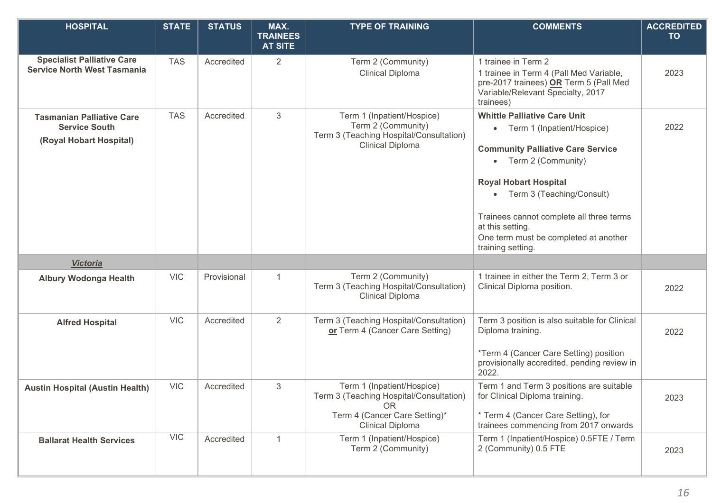| <b>HOSPITAL</b>                                                                     | <b>STATE</b> | <b>STATUS</b> | MAX.<br><b>TRAINEES</b><br><b>AT SITE</b> | <b>TYPE OF TRAINING</b>                                                                                                                        | <b>COMMENTS</b>                                                                                                                                                                                                                                                                                                                                 | <b>ACCREDITED</b><br><b>TO</b> |
|-------------------------------------------------------------------------------------|--------------|---------------|-------------------------------------------|------------------------------------------------------------------------------------------------------------------------------------------------|-------------------------------------------------------------------------------------------------------------------------------------------------------------------------------------------------------------------------------------------------------------------------------------------------------------------------------------------------|--------------------------------|
| <b>Specialist Palliative Care</b><br><b>Service North West Tasmania</b>             | <b>TAS</b>   | Accredited    | $\overline{2}$                            | Term 2 (Community)<br><b>Clinical Diploma</b>                                                                                                  | 1 trainee in Term 2<br>1 trainee in Term 4 (Pall Med Variable,<br>pre-2017 trainees) OR Term 5 (Pall Med<br>Variable/Relevant Specialty, 2017<br>trainees)                                                                                                                                                                                      | 2023                           |
| <b>Tasmanian Palliative Care</b><br><b>Service South</b><br>(Royal Hobart Hospital) | <b>TAS</b>   | Accredited    | 3                                         | Term 1 (Inpatient/Hospice)<br>Term 2 (Community)<br>Term 3 (Teaching Hospital/Consultation)<br><b>Clinical Diploma</b>                         | <b>Whittle Palliative Care Unit</b><br>• Term 1 (Inpatient/Hospice)<br><b>Community Palliative Care Service</b><br>Term 2 (Community)<br>$\bullet$<br><b>Royal Hobart Hospital</b><br>• Term 3 (Teaching/Consult)<br>Trainees cannot complete all three terms<br>at this setting.<br>One term must be completed at another<br>training setting. | 2022                           |
| <b>Victoria</b>                                                                     |              |               |                                           |                                                                                                                                                |                                                                                                                                                                                                                                                                                                                                                 |                                |
| <b>Albury Wodonga Health</b>                                                        | <b>VIC</b>   | Provisional   | $\mathbf 1$                               | Term 2 (Community)<br>Term 3 (Teaching Hospital/Consultation)<br><b>Clinical Diploma</b>                                                       | 1 trainee in either the Term 2, Term 3 or<br>Clinical Diploma position.                                                                                                                                                                                                                                                                         | 2022                           |
| <b>Alfred Hospital</b>                                                              | <b>VIC</b>   | Accredited    | 2                                         | Term 3 (Teaching Hospital/Consultation)<br>or Term 4 (Cancer Care Setting)                                                                     | Term 3 position is also suitable for Clinical<br>Diploma training.<br>*Term 4 (Cancer Care Setting) position<br>provisionally accredited, pending review in<br>2022.                                                                                                                                                                            | 2022                           |
| <b>Austin Hospital (Austin Health)</b>                                              | <b>VIC</b>   | Accredited    | 3                                         | Term 1 (Inpatient/Hospice)<br>Term 3 (Teaching Hospital/Consultation)<br><b>OR</b><br>Term 4 (Cancer Care Setting)*<br><b>Clinical Diploma</b> | Term 1 and Term 3 positions are suitable<br>for Clinical Diploma training.<br>* Term 4 (Cancer Care Setting), for<br>trainees commencing from 2017 onwards                                                                                                                                                                                      | 2023                           |
| <b>Ballarat Health Services</b>                                                     | <b>VIC</b>   | Accredited    | $\mathbf{1}$                              | Term 1 (Inpatient/Hospice)<br>Term 2 (Community)                                                                                               | Term 1 (Inpatient/Hospice) 0.5FTE / Term<br>2 (Community) 0.5 FTE                                                                                                                                                                                                                                                                               | 2023                           |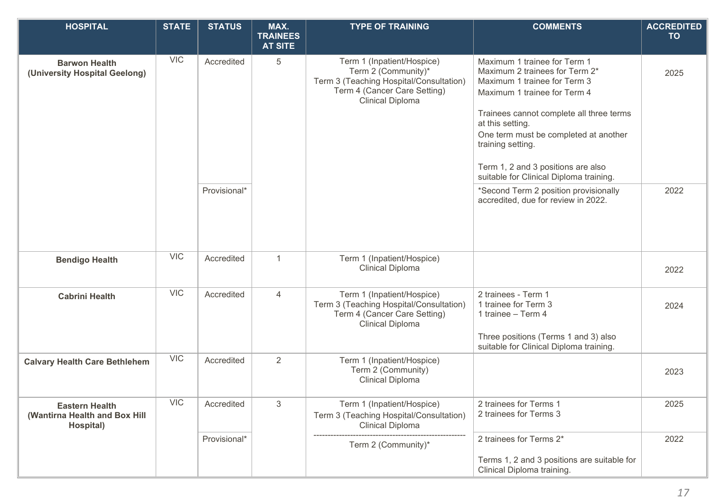| <b>HOSPITAL</b>                                                     | <b>STATE</b> | <b>STATUS</b> | MAX.<br><b>TRAINEES</b><br><b>AT SITE</b> | <b>TYPE OF TRAINING</b>                                                                                                                          | <b>COMMENTS</b>                                                                                                                                                                                                                                                                                                                               | <b>ACCREDITED</b><br><b>TO</b> |
|---------------------------------------------------------------------|--------------|---------------|-------------------------------------------|--------------------------------------------------------------------------------------------------------------------------------------------------|-----------------------------------------------------------------------------------------------------------------------------------------------------------------------------------------------------------------------------------------------------------------------------------------------------------------------------------------------|--------------------------------|
| <b>Barwon Health</b><br>(University Hospital Geelong)               | <b>VIC</b>   | Accredited    | $\overline{5}$                            | Term 1 (Inpatient/Hospice)<br>Term 2 (Community)*<br>Term 3 (Teaching Hospital/Consultation)<br>Term 4 (Cancer Care Setting)<br>Clinical Diploma | Maximum 1 trainee for Term 1<br>Maximum 2 trainees for Term 2*<br>Maximum 1 trainee for Term 3<br>Maximum 1 trainee for Term 4<br>Trainees cannot complete all three terms<br>at this setting.<br>One term must be completed at another<br>training setting.<br>Term 1, 2 and 3 positions are also<br>suitable for Clinical Diploma training. | 2025                           |
|                                                                     |              | Provisional*  |                                           |                                                                                                                                                  | *Second Term 2 position provisionally<br>accredited, due for review in 2022.                                                                                                                                                                                                                                                                  | 2022                           |
| <b>Bendigo Health</b>                                               | <b>VIC</b>   | Accredited    | $\mathbf{1}$                              | Term 1 (Inpatient/Hospice)<br><b>Clinical Diploma</b>                                                                                            |                                                                                                                                                                                                                                                                                                                                               | 2022                           |
| <b>Cabrini Health</b>                                               | <b>VIC</b>   | Accredited    | 4                                         | Term 1 (Inpatient/Hospice)<br>Term 3 (Teaching Hospital/Consultation)<br>Term 4 (Cancer Care Setting)<br><b>Clinical Diploma</b>                 | 2 trainees - Term 1<br>1 trainee for Term 3<br>1 trainee - Term 4<br>Three positions (Terms 1 and 3) also<br>suitable for Clinical Diploma training.                                                                                                                                                                                          | 2024                           |
| <b>Calvary Health Care Bethlehem</b>                                | <b>VIC</b>   | Accredited    | 2                                         | Term 1 (Inpatient/Hospice)<br>Term 2 (Community)<br><b>Clinical Diploma</b>                                                                      |                                                                                                                                                                                                                                                                                                                                               | 2023                           |
| <b>Eastern Health</b><br>(Wantirna Health and Box Hill<br>Hospital) | <b>VIC</b>   | Accredited    | $\mathfrak{S}$                            | Term 1 (Inpatient/Hospice)<br>Term 3 (Teaching Hospital/Consultation)<br><b>Clinical Diploma</b>                                                 | 2 trainees for Terms 1<br>2 trainees for Terms 3                                                                                                                                                                                                                                                                                              | 2025                           |
|                                                                     |              | Provisional*  |                                           | Term 2 (Community)*                                                                                                                              | 2 trainees for Terms 2*<br>Terms 1, 2 and 3 positions are suitable for<br>Clinical Diploma training.                                                                                                                                                                                                                                          | 2022                           |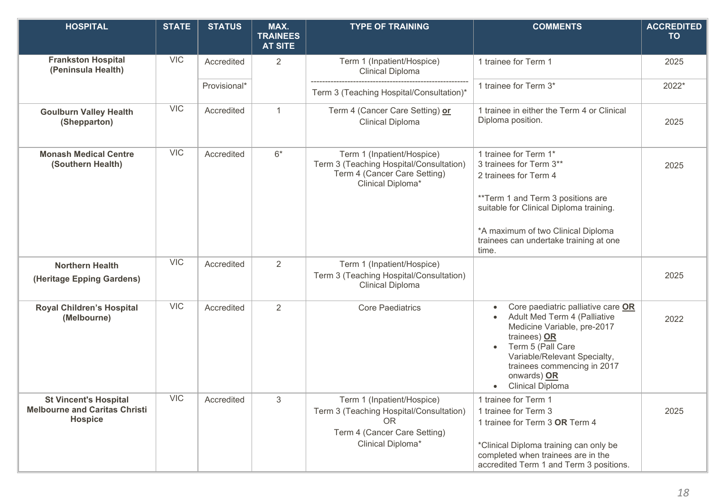| <b>HOSPITAL</b>                                                                        | <b>STATE</b> | <b>STATUS</b> | MAX.<br><b>TRAINEES</b><br><b>AT SITE</b> | <b>TYPE OF TRAINING</b>                                                                                                                 | <b>COMMENTS</b>                                                                                                                                                                                                                                    | <b>ACCREDITED</b><br><b>TO</b> |
|----------------------------------------------------------------------------------------|--------------|---------------|-------------------------------------------|-----------------------------------------------------------------------------------------------------------------------------------------|----------------------------------------------------------------------------------------------------------------------------------------------------------------------------------------------------------------------------------------------------|--------------------------------|
| <b>Frankston Hospital</b><br>(Peninsula Health)                                        | <b>VIC</b>   | Accredited    | $\overline{2}$                            | Term 1 (Inpatient/Hospice)<br>Clinical Diploma                                                                                          | 1 trainee for Term 1                                                                                                                                                                                                                               | 2025                           |
|                                                                                        |              | Provisional*  |                                           | Term 3 (Teaching Hospital/Consultation)*                                                                                                | 1 trainee for Term 3*                                                                                                                                                                                                                              | 2022*                          |
| <b>Goulburn Valley Health</b><br>(Shepparton)                                          | <b>VIC</b>   | Accredited    | $\mathbf{1}$                              | Term 4 (Cancer Care Setting) or<br><b>Clinical Diploma</b>                                                                              | 1 trainee in either the Term 4 or Clinical<br>Diploma position.                                                                                                                                                                                    | 2025                           |
| <b>Monash Medical Centre</b><br>(Southern Health)                                      | <b>VIC</b>   | Accredited    | $6*$                                      | Term 1 (Inpatient/Hospice)<br>Term 3 (Teaching Hospital/Consultation)<br>Term 4 (Cancer Care Setting)<br>Clinical Diploma*              | 1 trainee for Term 1*<br>3 trainees for Term 3**<br>2 trainees for Term 4<br>**Term 1 and Term 3 positions are<br>suitable for Clinical Diploma training.<br>*A maximum of two Clinical Diploma<br>trainees can undertake training at one<br>time. | 2025                           |
| <b>Northern Health</b><br>(Heritage Epping Gardens)                                    | <b>VIC</b>   | Accredited    | 2                                         | Term 1 (Inpatient/Hospice)<br>Term 3 (Teaching Hospital/Consultation)<br><b>Clinical Diploma</b>                                        |                                                                                                                                                                                                                                                    | 2025                           |
| <b>Royal Children's Hospital</b><br>(Melbourne)                                        | <b>VIC</b>   | Accredited    | 2                                         | <b>Core Paediatrics</b>                                                                                                                 | Core paediatric palliative care OR<br>Adult Med Term 4 (Palliative<br>Medicine Variable, pre-2017<br>trainees) OR<br>Term 5 (Pall Care<br>Variable/Relevant Specialty,<br>trainees commencing in 2017<br>onwards) OR<br><b>Clinical Diploma</b>    | 2022                           |
| <b>St Vincent's Hospital</b><br><b>Melbourne and Caritas Christi</b><br><b>Hospice</b> | <b>VIC</b>   | Accredited    | 3                                         | Term 1 (Inpatient/Hospice)<br>Term 3 (Teaching Hospital/Consultation)<br><b>OR</b><br>Term 4 (Cancer Care Setting)<br>Clinical Diploma* | 1 trainee for Term 1<br>1 trainee for Term 3<br>1 trainee for Term 3 OR Term 4<br>*Clinical Diploma training can only be<br>completed when trainees are in the<br>accredited Term 1 and Term 3 positions.                                          | 2025                           |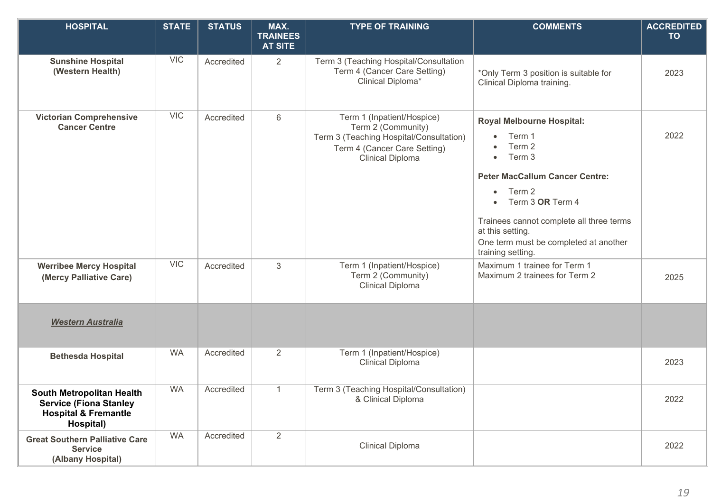| <b>HOSPITAL</b>                                                                                                   | <b>STATE</b> | <b>STATUS</b> | MAX.<br><b>TRAINEES</b><br><b>AT SITE</b> | <b>TYPE OF TRAINING</b>                                                                                                                         | <b>COMMENTS</b>                                                                                                                                                                                                                                                                                            | <b>ACCREDITED</b><br><b>TO</b> |
|-------------------------------------------------------------------------------------------------------------------|--------------|---------------|-------------------------------------------|-------------------------------------------------------------------------------------------------------------------------------------------------|------------------------------------------------------------------------------------------------------------------------------------------------------------------------------------------------------------------------------------------------------------------------------------------------------------|--------------------------------|
| <b>Sunshine Hospital</b><br>(Western Health)                                                                      | <b>VIC</b>   | Accredited    | $\overline{2}$                            | Term 3 (Teaching Hospital/Consultation<br>Term 4 (Cancer Care Setting)<br>Clinical Diploma*                                                     | *Only Term 3 position is suitable for<br>Clinical Diploma training.                                                                                                                                                                                                                                        | 2023                           |
| <b>Victorian Comprehensive</b><br><b>Cancer Centre</b>                                                            | <b>VIC</b>   | Accredited    | 6                                         | Term 1 (Inpatient/Hospice)<br>Term 2 (Community)<br>Term 3 (Teaching Hospital/Consultation)<br>Term 4 (Cancer Care Setting)<br>Clinical Diploma | <b>Royal Melbourne Hospital:</b><br>Term 1<br>Term 2<br>Term 3<br>$\bullet$<br><b>Peter MacCallum Cancer Centre:</b><br>Term 2<br>$\bullet$<br>Term 3 OR Term 4<br>$\bullet$<br>Trainees cannot complete all three terms<br>at this setting.<br>One term must be completed at another<br>training setting. | 2022                           |
| <b>Werribee Mercy Hospital</b><br>(Mercy Palliative Care)                                                         | <b>VIC</b>   | Accredited    | 3                                         | Term 1 (Inpatient/Hospice)<br>Term 2 (Community)<br><b>Clinical Diploma</b>                                                                     | Maximum 1 trainee for Term 1<br>Maximum 2 trainees for Term 2                                                                                                                                                                                                                                              | 2025                           |
| <b>Western Australia</b>                                                                                          |              |               |                                           |                                                                                                                                                 |                                                                                                                                                                                                                                                                                                            |                                |
| <b>Bethesda Hospital</b>                                                                                          | <b>WA</b>    | Accredited    | 2                                         | Term 1 (Inpatient/Hospice)<br><b>Clinical Diploma</b>                                                                                           |                                                                                                                                                                                                                                                                                                            | 2023                           |
| <b>South Metropolitan Health</b><br><b>Service (Fiona Stanley</b><br><b>Hospital &amp; Fremantle</b><br>Hospital) | <b>WA</b>    | Accredited    | $\mathbf{1}$                              | Term 3 (Teaching Hospital/Consultation)<br>& Clinical Diploma                                                                                   |                                                                                                                                                                                                                                                                                                            | 2022                           |
| <b>Great Southern Palliative Care</b><br><b>Service</b><br>(Albany Hospital)                                      | <b>WA</b>    | Accredited    | 2                                         | Clinical Diploma                                                                                                                                |                                                                                                                                                                                                                                                                                                            | 2022                           |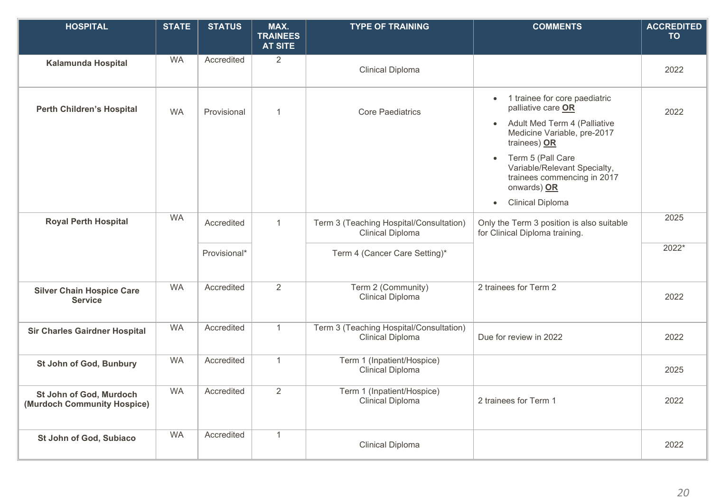| <b>HOSPITAL</b>                                        | <b>STATE</b> | <b>STATUS</b> | MAX.<br><b>TRAINEES</b><br><b>AT SITE</b> | <b>TYPE OF TRAINING</b>                                     | <b>COMMENTS</b>                                                                                                                                                                                                                                                                                                      | <b>ACCREDITED</b><br><b>TO</b> |
|--------------------------------------------------------|--------------|---------------|-------------------------------------------|-------------------------------------------------------------|----------------------------------------------------------------------------------------------------------------------------------------------------------------------------------------------------------------------------------------------------------------------------------------------------------------------|--------------------------------|
| <b>Kalamunda Hospital</b>                              | <b>WA</b>    | Accredited    | 2                                         | <b>Clinical Diploma</b>                                     |                                                                                                                                                                                                                                                                                                                      | 2022                           |
| <b>Perth Children's Hospital</b>                       | <b>WA</b>    | Provisional   | $\mathbf{1}$                              | <b>Core Paediatrics</b>                                     | 1 trainee for core paediatric<br>$\bullet$<br>palliative care OR<br>Adult Med Term 4 (Palliative<br>$\bullet$<br>Medicine Variable, pre-2017<br>trainees) OR<br>Term 5 (Pall Care<br>$\bullet$<br>Variable/Relevant Specialty,<br>trainees commencing in 2017<br>onwards) OR<br><b>Clinical Diploma</b><br>$\bullet$ | 2022                           |
| <b>Royal Perth Hospital</b>                            | <b>WA</b>    | Accredited    | $\mathbf{1}$                              | Term 3 (Teaching Hospital/Consultation)<br>Clinical Diploma | Only the Term 3 position is also suitable<br>for Clinical Diploma training.                                                                                                                                                                                                                                          | 2025<br>2022*                  |
|                                                        |              | Provisional*  |                                           | Term 4 (Cancer Care Setting)*                               |                                                                                                                                                                                                                                                                                                                      |                                |
| <b>Silver Chain Hospice Care</b><br><b>Service</b>     | <b>WA</b>    | Accredited    | $\overline{2}$                            | Term 2 (Community)<br>Clinical Diploma                      | 2 trainees for Term 2                                                                                                                                                                                                                                                                                                | 2022                           |
| <b>Sir Charles Gairdner Hospital</b>                   | <b>WA</b>    | Accredited    | $\mathbf{1}$                              | Term 3 (Teaching Hospital/Consultation)<br>Clinical Diploma | Due for review in 2022                                                                                                                                                                                                                                                                                               | 2022                           |
| St John of God, Bunbury                                | <b>WA</b>    | Accredited    | $\mathbf{1}$                              | Term 1 (Inpatient/Hospice)<br><b>Clinical Diploma</b>       |                                                                                                                                                                                                                                                                                                                      | 2025                           |
| St John of God, Murdoch<br>(Murdoch Community Hospice) | <b>WA</b>    | Accredited    | $\overline{2}$                            | Term 1 (Inpatient/Hospice)<br><b>Clinical Diploma</b>       | 2 trainees for Term 1                                                                                                                                                                                                                                                                                                | 2022                           |
| St John of God, Subiaco                                | <b>WA</b>    | Accredited    | $\mathbf{1}$                              | <b>Clinical Diploma</b>                                     |                                                                                                                                                                                                                                                                                                                      | 2022                           |